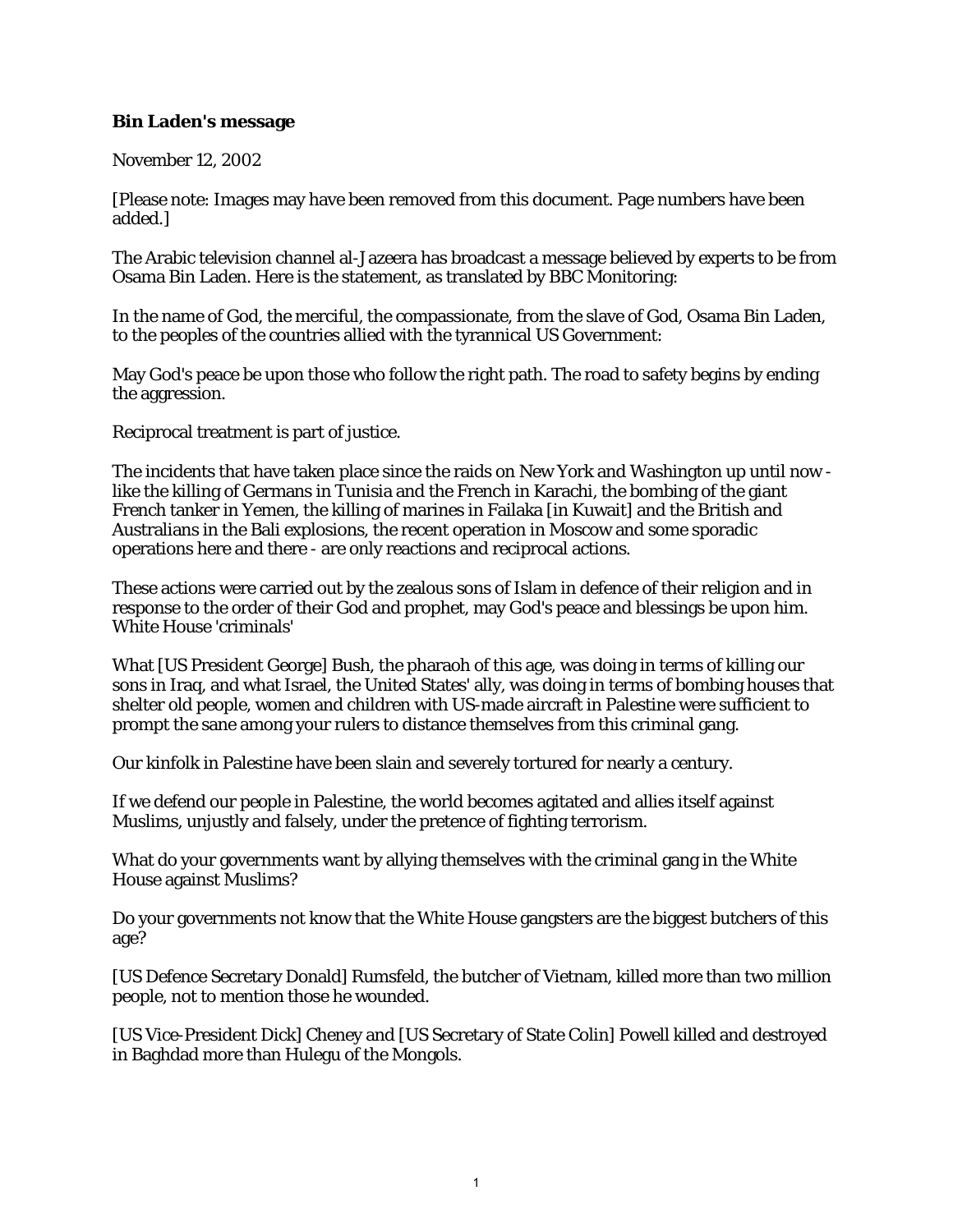## **Bin Laden's message**

November 12, 2002

[Please note: Images may have been removed from this document. Page numbers have been added.]

The Arabic television channel al-Jazeera has broadcast a message believed by experts to be from Osama Bin Laden. Here is the statement, as translated by BBC Monitoring:

In the name of God, the merciful, the compassionate, from the slave of God, Osama Bin Laden, to the peoples of the countries allied with the tyrannical US Government:

May God's peace be upon those who follow the right path. The road to safety begins by ending the aggression.

Reciprocal treatment is part of justice.

The incidents that have taken place since the raids on New York and Washington up until now like the killing of Germans in Tunisia and the French in Karachi, the bombing of the giant French tanker in Yemen, the killing of marines in Failaka [in Kuwait] and the British and Australians in the Bali explosions, the recent operation in Moscow and some sporadic operations here and there - are only reactions and reciprocal actions.

These actions were carried out by the zealous sons of Islam in defence of their religion and in response to the order of their God and prophet, may God's peace and blessings be upon him. White House 'criminals'

What [US President George] Bush, the pharaoh of this age, was doing in terms of killing our sons in Iraq, and what Israel, the United States' ally, was doing in terms of bombing houses that shelter old people, women and children with US-made aircraft in Palestine were sufficient to prompt the sane among your rulers to distance themselves from this criminal gang.

Our kinfolk in Palestine have been slain and severely tortured for nearly a century.

If we defend our people in Palestine, the world becomes agitated and allies itself against Muslims, unjustly and falsely, under the pretence of fighting terrorism.

What do your governments want by allying themselves with the criminal gang in the White House against Muslims?

Do your governments not know that the White House gangsters are the biggest butchers of this age?

[US Defence Secretary Donald] Rumsfeld, the butcher of Vietnam, killed more than two million people, not to mention those he wounded.

[US Vice-President Dick] Cheney and [US Secretary of State Colin] Powell killed and destroyed in Baghdad more than Hulegu of the Mongols.